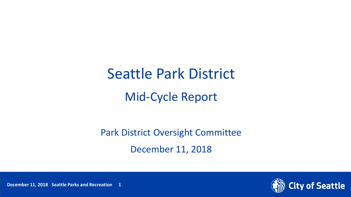# Seattle Park District Mid-Cycle Report

Park District Oversight Committee December 11, 2018



December 11, 2018 Seattle Parks and Recreation 1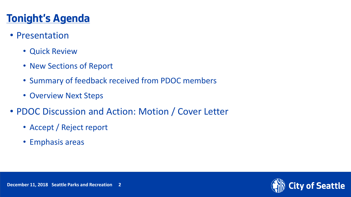## **Tonight's Agenda**

- Presentation
	- Quick Review
	- New Sections of Report
	- Summary of feedback received from PDOC members
	- Overview Next Steps
- PDOC Discussion and Action: Motion / Cover Letter
	- Accept / Reject report
	- Emphasis areas

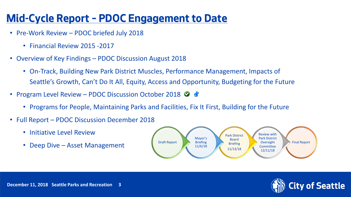## **Mid-Cycle Report – PDOC Engagement to Date**

- Pre-Work Review PDOC briefed July 2018
	- Financial Review 2015 -2017
- Overview of Key Findings PDOC Discussion August 2018
	- On-Track, Building New Park District Muscles, Performance Management, Impacts of Seattle's Growth, Can't Do It All, Equity, Access and Opportunity, Budgeting for the Future
- Program Level Review PDOC Discussion October 2018  $\bullet$ 
	- Programs for People, Maintaining Parks and Facilities, Fix It First, Building for the Future
- Full Report PDOC Discussion December 2018
	- Initiative Level Review
	-



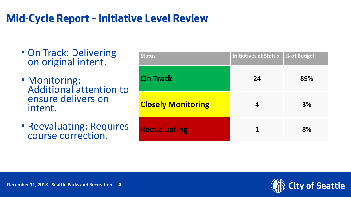### **Mid-Cycle Report – Initiative Level Review**

- On Track: Delivering on original intent.
- Monitoring: Additional attention to ensure delivers on intent.
- Reevaluating: Requires course correction.

| <b>Status</b>             | <b>Initiatives at Status</b> | % of Budget |
|---------------------------|------------------------------|-------------|
| <b>On Track</b>           | 24                           | 89%         |
| <b>Closely Monitoring</b> | 4                            | 3%          |
| <b>Reevaluating</b>       | 1                            | 8%          |

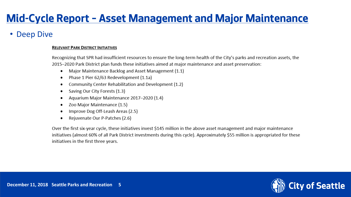### **Mid-Cycle Report – Asset Management and Major Maintenance**

### **Deep Dive**

#### **RELEVANT PARK DISTRICT INITIATIVES**

Recognizing that SPR had insufficient resources to ensure the long-term health of the City's parks and recreation assets, the 2015-2020 Park District plan funds these initiatives aimed at major maintenance and asset preservation:

- Major Maintenance Backlog and Asset Management (1.1)  $\bullet$
- Phase 1 Pier 62/63 Redevelopment (1.1a)
- Community Center Rehabilitation and Development (1.2)
- Saving Our City Forests (1.3)
- Aquarium Major Maintenance 2017-2020 (1.4)
- Zoo Major Maintenance (1.5) ٠
- Improve Dog Off-Leash Areas (2.5)
- Rejuvenate Our P-Patches (2.6)

Over the first six-year cycle, these initiatives invest \$145 million in the above asset management and major maintenance initiatives (almost 60% of all Park District investments during this cycle). Approximately \$55 million is appropriated for these initiatives in the first three years.

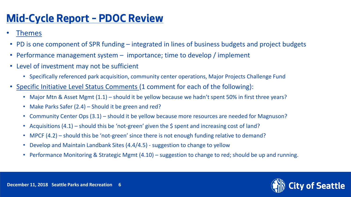### **Mid-Cycle Report – PDOC Review**

- Themes
- PD is one component of SPR funding integrated in lines of business budgets and project budgets
- Performance management system importance; time to develop / implement
- Level of investment may not be sufficient
	- Specifically referenced park acquisition, community center operations, Major Projects Challenge Fund
- Specific Initiative Level Status Comments (1 comment for each of the following):
	- Major Mtn & Asset Mgmt (1.1) should it be yellow because we hadn't spent 50% in first three years?
	- Make Parks Safer (2.4) Should it be green and red?
	- Community Center Ops (3.1) should it be yellow because more resources are needed for Magnuson?
	- Acquisitions  $(4.1)$  should this be 'not-green' given the \$ spent and increasing cost of land?
	- MPCF (4.2) should this be 'not-green' since there is not enough funding relative to demand?
	- Develop and Maintain Landbank Sites (4.4/4.5) suggestion to change to yellow
	- Performance Monitoring & Strategic Mgmt (4.10) suggestion to change to red; should be up and running.

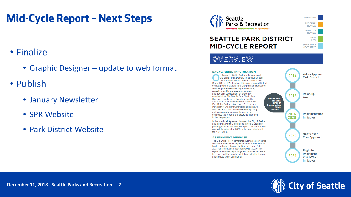### **Mid-Cycle Report – Next Steps**

### • Finalize

- Graphic Designer update to web format
- Publish
	- January Newsletter
	- SPR Website
	- Park District Website